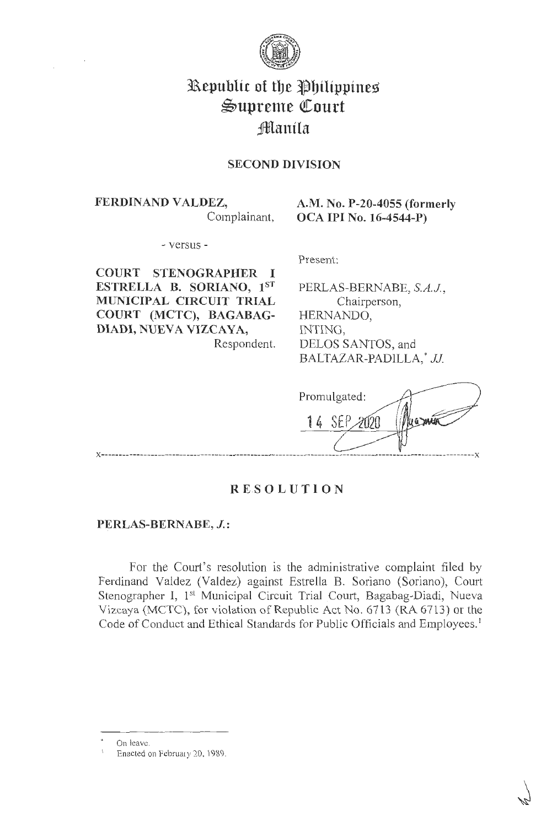

# **~epuhlic of tbe flbtlipptnes**   $\mathfrak{Supreme}$  Court *<u>Manila</u>*

# **SECOND DIVISION**

**FERDINAND VALDEZ,**  Complainant,

**A.M. No. P-20-4055 (formerly OCA IPI No. 16-4544-P)** 

- versus -

**COURT STENOGRAPHER I ESTRELLA B. SORIANO, 1ST MUNICIPAL CIRCUIT TRIAL COURT (MCTC), BAGABAG-DIADI, NUEVA VIZCAYA,**  Respondent. Present:

PERLAS-BERNABE, *S.A.J,*  Chairperson, HERNANDO, INTING, DELOS SANTOS, and BALTAZAR-PADILLA,\* JJ

| Promulgated: |
|--------------|
| Д<br>14      |
|              |

### **RE.SOLUTION**

#### **PERLAS-BERNABE, J.:**

For the Court's resolution is the administrative complaint filed by Ferdinand Valdez (Valdez) against Estrella B. Soriano (Soriano), Court Stenographer I, 1<sup>st</sup> Municipal Circuit Trial Court, Bagabag-Diadi, Nueva Vizcaya (MCTC), for violation of Republic Act No. 6713 (RA 6713) or the Code of Conduct and Ethical Standards for Public Officials and Employees.<sup>1</sup>

On leave.

<sup>1</sup> Enacted on Februa1 y *20,* 1989.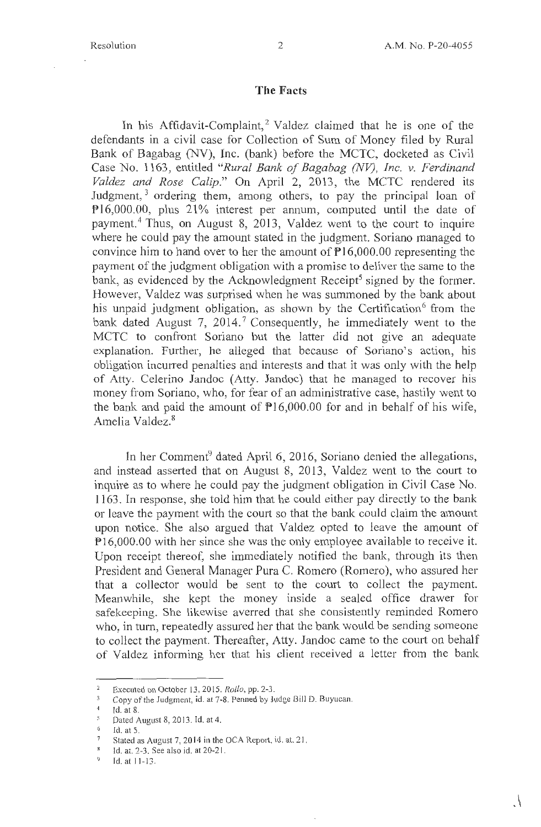## **The Facts**

In his Affidavit-Complaint,<sup>2</sup> Valdez claimed that he is one of the defendants in a civil case for Collection of Sum of Money filed by Rural Bank of Bagabag (NV), Inc. (bank) before the MCTC, docketed as Civil Case No. 1163, entitled *"Rural Bank of Bagabag (NV), Inc. v. Ferdinand Valdez and Rose Calip."* On April 2, 2013, the MCTC rendered its Judgment,<sup>3</sup> ordering them, among others, to pay the principal loan of Pl6,000.00, plus 21% interest per annum, computed until the date of payment. 4 Thus, on August 8, 2013, Valdez went to the court to inquire where he could pay the amount stated in the judgment. Soriano managed to convince him to hand over to her the amount of P16,000.00 representing the payment of the judgment obligation with a promise to deliver the same to the bank, as evidenced by the Acknowledgment Receipt<sup>5</sup> signed by the former. However, Valdez was surprised when he was summoned by the bank about his unpaid judgment obligation, as shown by the Certification<sup>6</sup> from the bank dated August 7, 2014.<sup>7</sup> Consequently, he immediately went to the MCTC to confront Soriano but the latter did not give an adequate explanation. Further, he alleged that because of Soriano's action, his obligation incurred penalties and interests and that it was only with the help of Atty. Celerino Jandoc (Atty. Jandoc) that he managed to recover his money from Soriano, who, for fear of an administrative case, hastily went to the bank and paid the amount of  $P16,000.00$  for and in behalf of his wife, Amelia Valdez.<sup>8</sup>

In her Comment<sup>9</sup> dated April 6, 2016, Soriano denied the allegations, and instead asserted that on August 8, 2013, Valdez went to the court to inquire as to where he could pay the judgment obligation in Civil Case No. 1163. In response, she told him that he could either pay directly to the bank or leave the payment with the court so that the bank could claim the amount upon notice. She also argued that Valdez opted to leave the amount of  $P16,000.00$  with her since she was the only employee available to receive it. Upon receipt thereof, she immediately notified the bank, through its then President and General Manager Pura C. Romero (Romero), who assured her that a collector would be sent to the court to collect the payment. Meanwhile, she kept the money inside a sealed office drawer for safekeeping. She likewise averred that she consistently reminded Romero who, in turn, repeatedly assured her that the bank would be sending someone to collect the payment. Thereafter, Atty. Jandoc came to the court on behalf of Valdez informing her that his client received a letter from the bank

<sup>&</sup>lt;sup>2</sup> Executed on October 13, 2015. *Rollo*, pp. 2-3.<br><sup>3</sup> Copy of the Judgment, id. at 7-8. Penned by Judge Bill D. Buyucan.

 $\overline{4}$ Id. at 8.

 $\frac{5}{6}$  Dated August 8, 2013. Id. at 4.

 $\frac{6}{7}$  Id. at 5.

Stated as August 7, 2014 in the OCA Report, id. at. 21.

*<sup>8</sup>*Id. at. 2-3. See also id. at 20-2 1.

Id. at 11-13.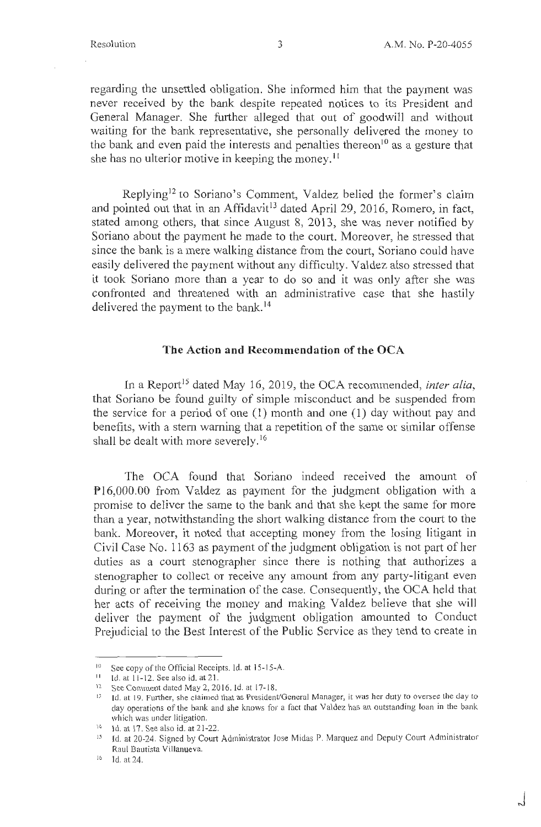$\sqrt{2}$ 

regarding the unsettled obligation. She informed him that the payment was never received by the bank despite repeated notices to its President and General Manager. She further alleged that out of goodwill and without waiting for the bank representative, she personally delivered the money to the bank and even paid the interests and penalties thereon<sup>10</sup> as a gesture that she has no ulterior motive in keeping the money.<sup>11</sup>

Replying<sup>12</sup> to Soriano's Comment, Valdez belied the former's claim and pointed out that in an Affidavit<sup>13</sup> dated April 29, 2016, Romero, in fact, stated among others, that since August 8, 2013, she was never notified by Soriano about the payment he made to the court. Moreover, he stressed that since the bank is a mere walking distance from the court, Soriano could have easily delivered the payment without any difficulty. Valdez also stressed that it took Soriano more than a year to do so and it was only after she was confronted and threatened with an administrative case that she hastily delivered the payment to the bank.<sup>14</sup>

### **The Action and Recommendation of the OCA**

In a Report<sup>15</sup> dated May 16, 2019, the OCA recommended, *inter alia*, that Soriano be found guilty of simple misconduct and be suspended from the service for a period of one (1) month and one (1) day without pay and benefits, with a stern warning that a repetition of the same or similar offense shall be dealt with more severely.<sup>16</sup>

The OCA found that Soriano indeed received the amount of P16,000.00 from Valdez as payment for the judgment obligation with a promise to deliver the same to the bank and that she kept the same for more than a year, notwithstanding the short walking distance from the court to the bank. Moreover, it noted that accepting money from the losing litigant in Civil Case No. 1163 as payment of the judgment obligation is not part of her duties as a court stenographer since there is nothing that authorizes a stenographer to collect or receive any amount from any party-litigant even during or after the termination of the case. Consequently, the OCA held that her acts of receiving the money and making Valdez believe that she will deliver the payment of the judgment obligation amounted to Conduct Prejudicial to the Best Interest of the Public Service as they tend to create in

<sup>&</sup>lt;sup>10</sup> See copy of the Official Receipts. Id. at 15-15-A.

 $11$  Id. at 11-12. See also id. at 21.

 $12$  See Comment dated May 2, 2016. Id. at 17-18.

<sup>&</sup>lt;sup>13</sup> Id. at 19. Further, she claimed that as President/General Manager, it was her duty to oversee the day to day operations of the bank and she knows for a fact that Valdez has an outstanding loan in the bank which was under litigation.

<sup>&</sup>lt;sup>14</sup> Id. at 17. See also id. at 21-22.

<sup>1</sup>d. at 20-24. Signed by Court Administrator Jose Midas P. Marquez and Deputy Court Administrator Raul Bautista Villanueva.

 $16$  Id. at 24.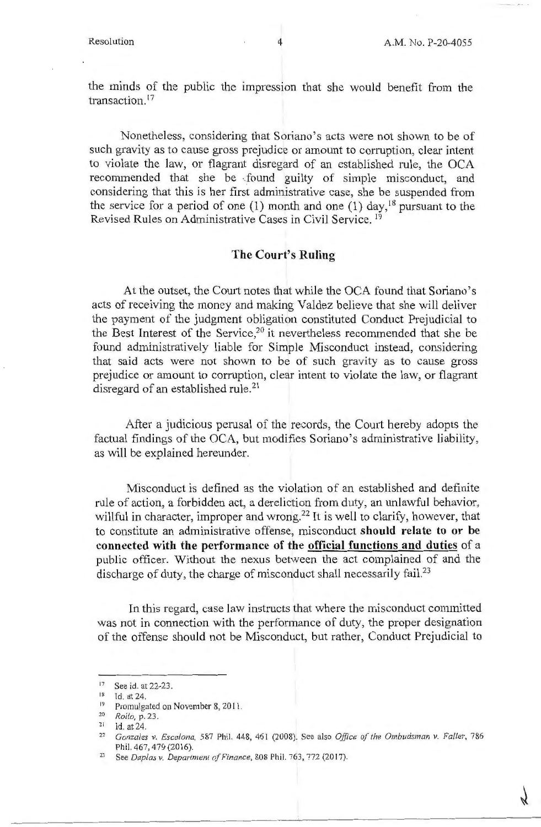the minds of the public the impression that she would benefit from the transaction.<sup>17</sup>

Nonetheless, considering that Soriano's acts were not shown to be of such gravity as to cause gross prejudice or amount to corruption, clear intent to violate the law, or flagrant disregard of an established rule, the OCA recommended that she be found guilty of simple misconduct, and considering that this is her first administrative case, she be suspended from the service for a period of one (1) month and one (1) day,  $^{18}$  pursuant to the Revised Rules on Administrative Cases in Civil Service.<sup>19</sup>

#### **The Court's Ruling**

At the outset, the Court notes that while the OCA found that Soriano's acts of receiving the money and making Valdez believe that she will deliver the payment of the judgment obligation constituted Conduct Prejudicial to the Best Interest of the Service,<sup>20</sup> it nevertheless recommended that she be found administratively liable for Simple Misconduct instead, considering that said acts were not shown to be of such gravity as to cause gross prejudice or amount to corruption, clear intent to violate the law, or flagrant disregard of an established rule.<sup>21</sup>

After a judicious perusal of the records, the Court hereby adopts the factual findings of the OCA, but modifies Soriano's administrative liability, as will be explained hereunder.

Misconduct is defined as the violation of an established and definite rule of action, a forbidden act, a dereliction from duty, an unlawful behavior, willful in character, improper and wrong.<sup>22</sup> It is well to clarify, however, that to constitute an administrative offense, misconduct **should relate to or be connected with the performance of the official functions and duties** of a public officer. Without the nexus between the act complained of and the discharge of duty, the charge of misconduct shall necessarily fail.<sup>23</sup>

In this regard, case law instructs that where the misconduct committed was not in connection with the performance of duty, the proper designation of the offense should not be Misconduct, but rather, Conduct Prejudicial to

<sup>17</sup> See id. at 22-23.

<sup>18</sup> Id. at 24.

<sup>19</sup> Promulgated on November 8, 2011.<br>
<sup>20</sup> *Rollo*, p. 23.<br>
<sup>21</sup> Id. at 24.<br> *<sup>22</sup> Gonzales v. <i>Escalona*, 587 Phil. 448, 461 (2008). See also *Office of the Ombudsman v. Faller*, 786 Phil. 467, 479 (2016).<br><sup>23</sup> See *Daplas v. Department of Finance*, 808 Phil. 763, 772 (2017).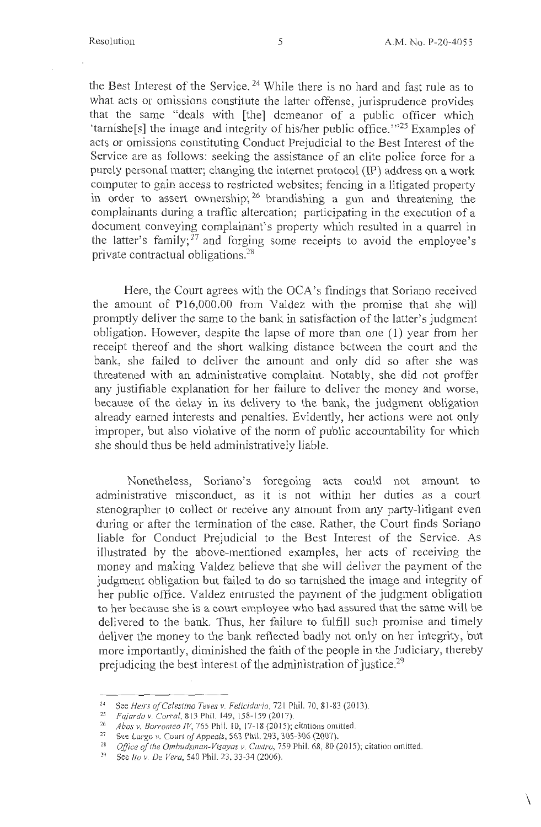$\setminus$ 

the Best Interest of the Service. 24 While there is no hard and fast rule as to what acts or omissions constitute the latter offense, jurisprudence provides that the same "deals with [the] demeanor of a public officer which 'tarnishe<sup>[s]</sup> the image and integrity of his/her public office."<sup>25</sup> Examples of acts or omissions constituting Conduct Prejudicial to the Best Interest of the Service are as follows: seeking the assistance of an elite police force for a purely personal matter; changing the internet protocol (IP) address on a work computer to gain access to restricted websites; fencing in a litigated property in order to assert ownership;  $26$  brandishing a gun and threatening the complainants during a traffic altercation; participating in the execution of a document conveying complainant's property which resulted in a quarrel in the latter's family;  $27$  and forging some receipts to avoid the employee's private contractual obligations.<sup>28</sup>

Here, the Court agrees with the OCA's findings that Soriano received the amount of Pl6,000.00 from Valdez with the promise that she will promptly deliver the same to the bank in satisfaction of the latter's judgment obligation. However, despite the lapse of more than one (1) year from her receipt thereof and the short walking distance between the court and the bank, she failed to deliver the amount and only did so after she was threatened with an administrative complaint. Notably, she did not proffer any justifiable explanation for her failure to deliver the money and worse, because of the delay in its delivery to the bank, the judgment obligation already earned interests and penalties. Evidently, her actions were not only improper, but also violative of the norm of public accountability for which she should thus be held administratively liable.

Nonetheless, Soriano's foregoing acts could not amount to administrative misconduct, as it is not within her duties as a court stenographer to collect or receive any amount from any party-litigant even during or after the termination of the case. Rather, the Court finds Soriano liable for Conduct Prejudicial to the Best Interest of the Service. As illustrated by the above-mentioned examples, her acts of receiving the money and making Valdez believe that she will deliver the payment of the judgment obligation but failed to do so tarnished the image and integrity of her public office. Valdez entrusted the payment of the judgment obligation to her because she is a court employee who had assured that the same will be delivered to the bank. Thus, her failure to fulfill such promise and timely deliver the money to the bank reflected badly not only on her integrity, but more importantly, diminished the faith of the people in the Judiciary, thereby prejudicing the best interest of the administration of justice.<sup>29</sup>

<sup>&</sup>lt;sup>24</sup> See *Heirs of Celestino Teves v. Felicidario*, 721 Phil. 70, 81-83 (2013).

<sup>&</sup>lt;sup>25</sup> Fajardo v. *Corral*, 813 Phil. 149, 158-159 (2017).

<sup>26</sup> *Abos v. Borromeo* IV, 765 Phil. 10, 17-18 (2015); citations omitted.

<sup>&</sup>lt;sup>27</sup> See *Largo v. Court of Appeals,* 563 Phil. 293, 305-306 (2007).<br><sup>28</sup> Office of the Ombudsman-Visquas v. Castro, 759 Phil. 68, 80 C

Office of the Ombudsman-Visayas v. Castro, 759 Phil. 68, 80 (2015); citation omitted.

<sup>2</sup> See *Ito v. De Vera*, 540 Phil. 23, 33-34 (2006).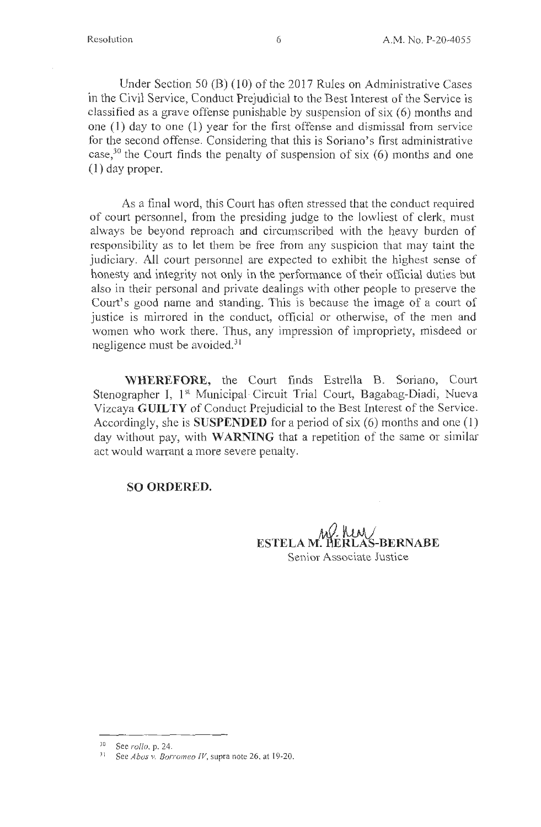Under Section 50 (B) (10) of the 2017 Rules on Administrative Cases in the Civil Service, Conduct Prejudicial to the Best Interest of the Service is classified as a grave offense punishable by suspension of six (6) months and one (1) day to one (1) year for the first offense and dismissal from service for the second offense. Considering that this is Soriano's first administrative case,<sup>30</sup> the Court finds the penalty of suspension of six  $(6)$  months and one (1) day proper.

As a final word, this Court has often stressed that the conduct required of court personnel, from the presiding judge to the lowliest of clerk, must always be beyond reproach and circumscribed with the heavy burden of responsibility as to let them be free from any suspicion that may taint the judiciary. All court personnel are expected to exhibit the highest sense of honesty and integrity not only in the performance of their official duties but also in their personal and private dealings with other people to preserve the Court's good name and standing. This is because the image of a court of justice is mirrored in the conduct, official or otherwise, of the men and women who work there. Thus, any impression of impropriety, misdeed or negligence must be avoided.<sup>31</sup>

**WHEREFORE,** the Court finds Estrella B. Soriano, Court Stenographer I, 1<sup>st</sup> Municipal Circuit Trial Court, Bagabag-Diadi, Nueva Vizcaya **GUILTY** of Conduct Prejudicial to the Best Interest of the Service. Accordingly, she is **SUSPENDED** for a period of six (6) months and one (1) day without pay, with **WARNING** that a repetition of the same or similar act would warrant a more severe penalty.

# **SO ORDERED.**

**ESTELA M** Senior Associate Justice

<sup>30</sup> See *rollo,* p. 24.

<sup>31</sup> See *Abos v. Borromeo IV,* supra note 26, at 19-20.